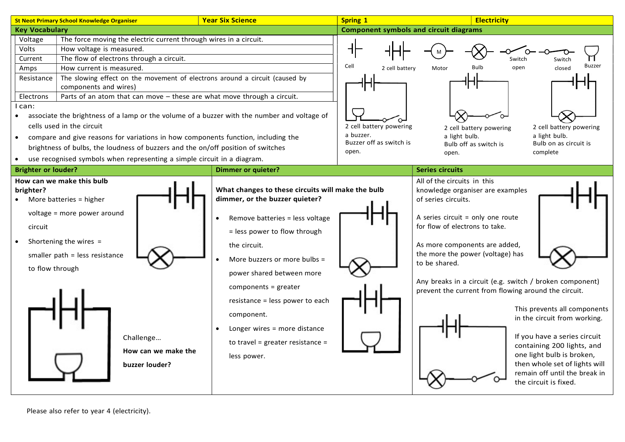

Please also refer to year 4 (electricity).